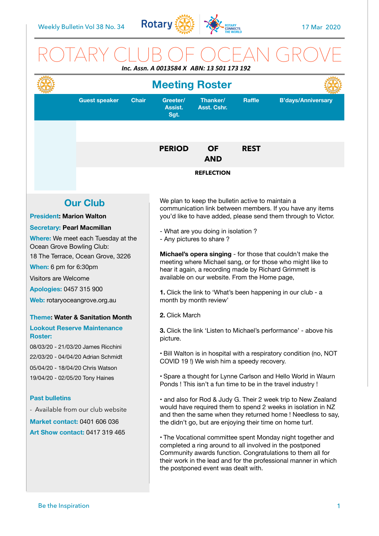

## ROTARY CLUB OF OCEAN GROVE *Inc. Assn. A 0013584 X ABN: 13 501 173 192*

| Greeter/<br>Thanker/<br><b>Raffle</b><br><b>B'days/Anniversary</b><br><b>Guest speaker</b><br><b>Chair</b><br>Assist.<br><b>Asst. Cshr.</b><br>Sgt.<br><b>PERIOD</b><br><b>OF</b><br><b>REST</b><br><b>AND</b><br><b>REFLECTION</b><br>We plan to keep the bulletin active to maintain a<br><b>Our Club</b><br>communication link between members. If you have any items<br><b>President: Marion Walton</b><br>you'd like to have added, please send them through to Victor.<br>- What are you doing in isolation?<br>Where: We meet each Tuesday at the<br>- Any pictures to share?<br>Ocean Grove Bowling Club:<br>Michael's opera singing - for those that couldn't make the<br>18 The Terrace, Ocean Grove, 3226<br>meeting where Michael sang, or for those who might like to<br>hear it again, a recording made by Richard Grimmett is<br>available on our website. From the Home page,<br><b>Apologies: 0457 315 900</b><br>1. Click the link to 'What's been happening in our club - a<br>month by month review'<br>2. Click March<br><b>Theme: Water &amp; Sanitation Month</b><br><b>Lookout Reserve Maintenance</b><br>3. Click the link 'Listen to Michael's performance' - above his<br>picture.<br>08/03/20 - 21/03/20 James Ricchini<br>22/03/20 - 04/04/20 Adrian Schmidt<br>COVID 19!) We wish him a speedy recovery.<br>05/04/20 - 18/04/20 Chris Watson<br>• Spare a thought for Lynne Carlson and Hello World in Waurn<br>19/04/20 - 02/05/20 Tony Haines<br>Ponds! This isn't a fun time to be in the travel industry!<br><b>Past bulletins</b><br>• and also for Rod & Judy G. Their 2 week trip to New Zealand<br>would have required them to spend 2 weeks in isolation in NZ<br>- Available from our club website<br>and then the same when they returned home ! Needless to say,<br><b>Market contact: 0401 606 036</b><br>the didn't go, but are enjoying their time on home turf. |  | 111L. ASSII. A VULJJO4 A  ADIV. 1J JUL 17J 13Z<br><b>Meeting Roster</b> |  |                                                                    |  |  |  |  |
|---------------------------------------------------------------------------------------------------------------------------------------------------------------------------------------------------------------------------------------------------------------------------------------------------------------------------------------------------------------------------------------------------------------------------------------------------------------------------------------------------------------------------------------------------------------------------------------------------------------------------------------------------------------------------------------------------------------------------------------------------------------------------------------------------------------------------------------------------------------------------------------------------------------------------------------------------------------------------------------------------------------------------------------------------------------------------------------------------------------------------------------------------------------------------------------------------------------------------------------------------------------------------------------------------------------------------------------------------------------------------------------------------------------------------------------------------------------------------------------------------------------------------------------------------------------------------------------------------------------------------------------------------------------------------------------------------------------------------------------------------------------------------------------------------------------------------------------------------------------------------------------------------------------|--|-------------------------------------------------------------------------|--|--------------------------------------------------------------------|--|--|--|--|
|                                                                                                                                                                                                                                                                                                                                                                                                                                                                                                                                                                                                                                                                                                                                                                                                                                                                                                                                                                                                                                                                                                                                                                                                                                                                                                                                                                                                                                                                                                                                                                                                                                                                                                                                                                                                                                                                                                               |  |                                                                         |  |                                                                    |  |  |  |  |
| <b>Secretary: Pearl Macmillan</b><br>When: 6 pm for 6:30pm<br>Visitors are Welcome<br>Web: rotaryoceangrove.org.au<br><b>Roster:</b>                                                                                                                                                                                                                                                                                                                                                                                                                                                                                                                                                                                                                                                                                                                                                                                                                                                                                                                                                                                                                                                                                                                                                                                                                                                                                                                                                                                                                                                                                                                                                                                                                                                                                                                                                                          |  |                                                                         |  |                                                                    |  |  |  |  |
|                                                                                                                                                                                                                                                                                                                                                                                                                                                                                                                                                                                                                                                                                                                                                                                                                                                                                                                                                                                                                                                                                                                                                                                                                                                                                                                                                                                                                                                                                                                                                                                                                                                                                                                                                                                                                                                                                                               |  |                                                                         |  |                                                                    |  |  |  |  |
|                                                                                                                                                                                                                                                                                                                                                                                                                                                                                                                                                                                                                                                                                                                                                                                                                                                                                                                                                                                                                                                                                                                                                                                                                                                                                                                                                                                                                                                                                                                                                                                                                                                                                                                                                                                                                                                                                                               |  |                                                                         |  |                                                                    |  |  |  |  |
|                                                                                                                                                                                                                                                                                                                                                                                                                                                                                                                                                                                                                                                                                                                                                                                                                                                                                                                                                                                                                                                                                                                                                                                                                                                                                                                                                                                                                                                                                                                                                                                                                                                                                                                                                                                                                                                                                                               |  |                                                                         |  |                                                                    |  |  |  |  |
|                                                                                                                                                                                                                                                                                                                                                                                                                                                                                                                                                                                                                                                                                                                                                                                                                                                                                                                                                                                                                                                                                                                                                                                                                                                                                                                                                                                                                                                                                                                                                                                                                                                                                                                                                                                                                                                                                                               |  |                                                                         |  |                                                                    |  |  |  |  |
|                                                                                                                                                                                                                                                                                                                                                                                                                                                                                                                                                                                                                                                                                                                                                                                                                                                                                                                                                                                                                                                                                                                                                                                                                                                                                                                                                                                                                                                                                                                                                                                                                                                                                                                                                                                                                                                                                                               |  |                                                                         |  |                                                                    |  |  |  |  |
|                                                                                                                                                                                                                                                                                                                                                                                                                                                                                                                                                                                                                                                                                                                                                                                                                                                                                                                                                                                                                                                                                                                                                                                                                                                                                                                                                                                                                                                                                                                                                                                                                                                                                                                                                                                                                                                                                                               |  |                                                                         |  |                                                                    |  |  |  |  |
|                                                                                                                                                                                                                                                                                                                                                                                                                                                                                                                                                                                                                                                                                                                                                                                                                                                                                                                                                                                                                                                                                                                                                                                                                                                                                                                                                                                                                                                                                                                                                                                                                                                                                                                                                                                                                                                                                                               |  |                                                                         |  |                                                                    |  |  |  |  |
|                                                                                                                                                                                                                                                                                                                                                                                                                                                                                                                                                                                                                                                                                                                                                                                                                                                                                                                                                                                                                                                                                                                                                                                                                                                                                                                                                                                                                                                                                                                                                                                                                                                                                                                                                                                                                                                                                                               |  |                                                                         |  |                                                                    |  |  |  |  |
|                                                                                                                                                                                                                                                                                                                                                                                                                                                                                                                                                                                                                                                                                                                                                                                                                                                                                                                                                                                                                                                                                                                                                                                                                                                                                                                                                                                                                                                                                                                                                                                                                                                                                                                                                                                                                                                                                                               |  |                                                                         |  | . Bill Walton is in hospital with a respiratory condition (no, NOT |  |  |  |  |
|                                                                                                                                                                                                                                                                                                                                                                                                                                                                                                                                                                                                                                                                                                                                                                                                                                                                                                                                                                                                                                                                                                                                                                                                                                                                                                                                                                                                                                                                                                                                                                                                                                                                                                                                                                                                                                                                                                               |  |                                                                         |  |                                                                    |  |  |  |  |
| <b>Art Show contact: 0417 319 465</b><br>. The Vocational committee spent Monday night together and<br>completed a ring around to all involved in the postponed<br>Community awards function. Congratulations to them all for<br>their work in the lead and for the professional manner in which<br>the postponed event was dealt with.                                                                                                                                                                                                                                                                                                                                                                                                                                                                                                                                                                                                                                                                                                                                                                                                                                                                                                                                                                                                                                                                                                                                                                                                                                                                                                                                                                                                                                                                                                                                                                       |  |                                                                         |  |                                                                    |  |  |  |  |